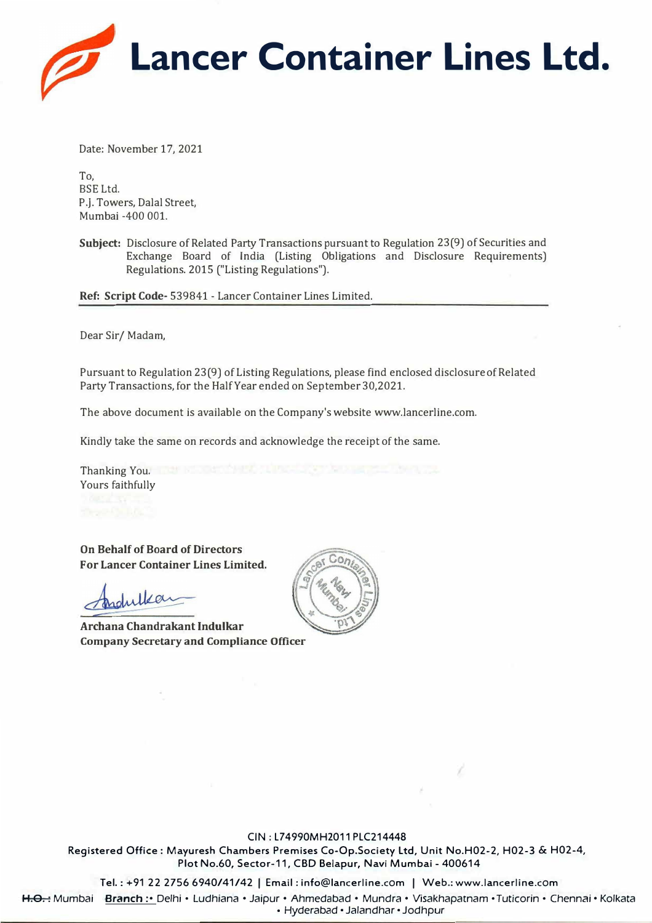

Date: November 17, 2021

To, BSE Ltd. P.J. Towers, Dalal Street, Mumbai -400 001.

**Subject:** Disclosure of Related Party Transactions pursuant to Regulation 23(9) of Securities and Exchange Board of India (Listing Obligations and Disclosure Requirements) Regulations. 2015 ("Listing Regulations").

**Ref: Script Code-** 539841 - Lancer Container Lines Limited.

Dear Sir/ Madam,

Pursuant to Regulation 23(9) of Listing Regulations, please find enclosed disclosure of Related Party Transactions, for the Half Year ended on September 30,2021.

The above document is available on the Company'swebsite www.lancerline.com.

Kindly take the same on records and acknowledge the receipt of the same.

Thanking You. Yours faithfully

**On Behalf of Board of Directors For Lancer Container Lines Limited.** 

Indultion

**Archana Chandrakant Indulkar Company Secretary and Compliance Officer** 



#### CIN: L74990MH2011 PLC214448

Registered Office: Mayuresh Chambers Premises Co-Op.Society Ltd, Unit No.H02-2, H02-3 & H02-4, Plot No.60, Sector-11, CBD Belapur, Navi Mumbai - 400614

Tel.: +91 22 2756 6940/41/42 I Email: info@lancerline.com I Web.: www.lancerline.com

H.O.: Mumbai Branch:•Delhi • Ludhiana•Jaipur•Ahmedabad• Mundra• Visakhapatnam • Tuticorin • Chennai• Kolkata

• Hyderabad • Jalandhar • Jodhpur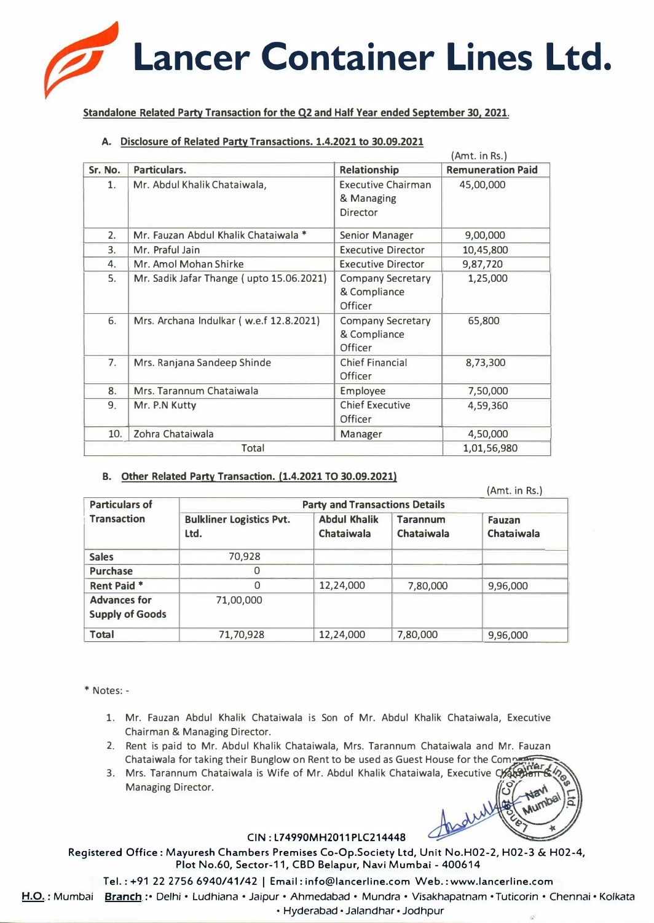# **Lancer Container Lines Ltd.**

Standalone Related Party Transaction for the Q2 and Half Year ended September 30, 2021.

# **A. Disclosure of Related Party Transactions. 1.4.2021 to 30.09.2021**

|         |                                          |                                                            | (Amt. in Rs.)            |  |
|---------|------------------------------------------|------------------------------------------------------------|--------------------------|--|
| Sr. No. | Particulars.                             | <b>Relationship</b>                                        | <b>Remuneration Paid</b> |  |
| 1.      | Mr. Abdul Khalik Chataiwala,             | <b>Executive Chairman</b><br>& Managing<br>Director        | 45,00,000                |  |
| 2.      | Mr. Fauzan Abdul Khalik Chataiwala *     | <b>Senior Manager</b>                                      | 9,00,000                 |  |
| 3.      | Mr. Praful Jain                          | <b>Executive Director</b>                                  | 10,45,800                |  |
| 4.      | Mr. Amol Mohan Shirke                    | <b>Executive Director</b>                                  | 9,87,720                 |  |
| 5.      | Mr. Sadik Jafar Thange (upto 15.06.2021) | <b>Company Secretary</b><br>& Compliance<br><b>Officer</b> | 1,25,000                 |  |
| 6.      | Mrs. Archana Indulkar (w.e.f 12.8.2021)  | <b>Company Secretary</b><br>& Compliance<br>Officer        | 65,800                   |  |
| 7.      | Mrs. Ranjana Sandeep Shinde              | <b>Chief Financial</b><br><b>Officer</b>                   | 8,73,300                 |  |
| 8.      | Mrs. Tarannum Chataiwala                 | <b>Employee</b>                                            | 7,50,000                 |  |
| 9.      | Mr. P.N Kutty                            | <b>Chief Executive</b><br>4,59,360<br><b>Officer</b>       |                          |  |
| 10.     | Zohra Chataiwala                         | Manager                                                    | 4,50,000                 |  |
|         | Total                                    | 1,01,56,980                                                |                          |  |

# **B. Other Related Party Transaction. (1.4.2021 TO 30.09.2021}**

|                                               |                                         |                                          |                                      | (Amt. in Rs.)               |
|-----------------------------------------------|-----------------------------------------|------------------------------------------|--------------------------------------|-----------------------------|
| <b>Particulars of</b>                         | <b>Party and Transactions Details</b>   |                                          |                                      |                             |
| <b>Transaction</b>                            | <b>Bulkliner Logistics Pvt.</b><br>Ltd. | <b>Abdul Khalik</b><br><b>Chataiwala</b> | <b>Tarannum</b><br><b>Chataiwala</b> | Fauzan<br><b>Chataiwala</b> |
| <b>Sales</b>                                  | 70,928                                  |                                          |                                      |                             |
| <b>Purchase</b>                               | 0                                       |                                          |                                      |                             |
| Rent Paid *                                   | 0                                       | 12,24,000                                | 7,80,000                             | 9,96,000                    |
| <b>Advances for</b><br><b>Supply of Goods</b> | 71,00,000                               |                                          |                                      |                             |
| <b>Total</b>                                  | 71,70,928                               | 12,24,000                                | 7,80,000                             | 9,96,000                    |

\* Notes: -

- 1. Mr. Fauzan Abdul Khalik Chataiwala is Son of Mr. Abdul Khalik Chataiwala, Executive Chairman & Managing Director.
- 2. Rent is paid to Mr. Abdul Khalik Chataiwala, Mrs. Tarannum Chataiwala and Mr. Fauzan Chataiwala for taking their Bunglow on Rent to be used as Guest House for the Compert
- 3. Mrs. Tarannum Chataiwala is Wife of Mr. Abdul Khalik Chataiwala, Executive Ch Managing Director.

# **CIN: l74990MH2011 PLC214448**

**Registered Office: Mayuresh Chambers Premises Co-Op.Society ltd, Unit No.H02-2, H02-3** & **H02-4, Plot No.60, Sector-11, CBD Belapur, Navi Mumbai - 400614** 

**Tel.: +91 22 2756 6940/41/42** I **Email: info@lancerline.com Web.: www.lancerline.com** 

**H.O. :** Mumbai **Branch : •** Delhi • Ludhiana • Jaipur • Ahmedabad • Mundra • Visakhapatnam • Tuticorin • Chennai • Kolkata

• Hyderabad • Jalandhar • Jodhpur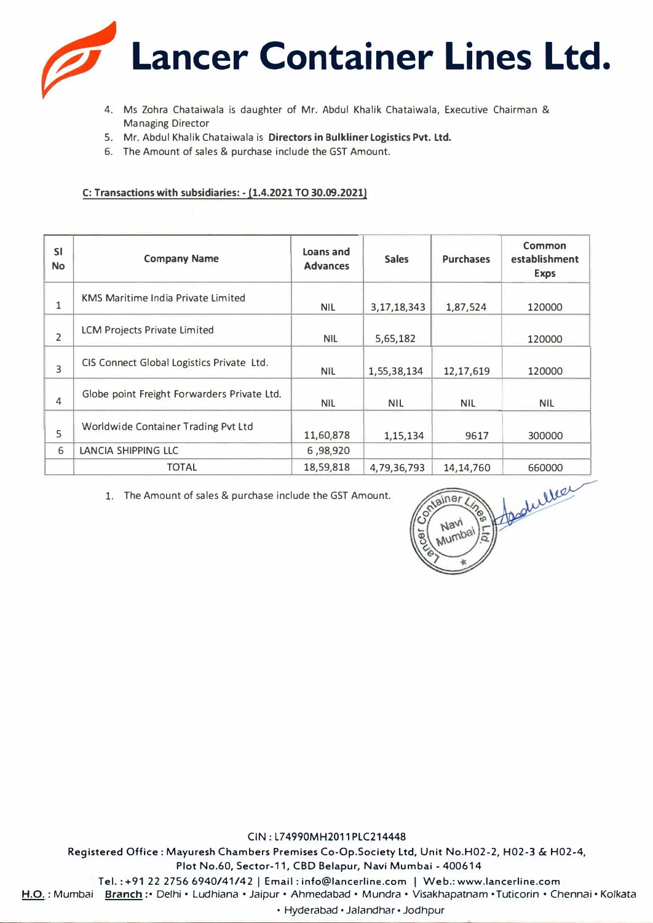

- 4. Ms Zahra Chataiwala is daughter of Mr. Abdul Khalik Chataiwala, Executive Chairman & Managing Director
- 5. Mr. Abdul Khalik Chataiwala is **Directors in Bulkliner Logistics Pvt. Ltd.**
- 6. The Amount of sales & purchase include the GST Amount.

### **C: Transactions with subsidiaries: - (1.4.2021 TO 30.09.2021)**

| <b>SI</b><br><b>No</b> | <b>Company Name</b>                         | Loans and<br><b>Advances</b> | <b>Sales</b>   | <b>Purchases</b> | Common<br>establishment<br><b>Exps</b> |
|------------------------|---------------------------------------------|------------------------------|----------------|------------------|----------------------------------------|
| 1                      | <b>KMS Maritime India Private Limited</b>   | <b>NIL</b>                   | 3, 17, 18, 343 | 1,87,524         | 120000                                 |
| 2                      | <b>LCM Projects Private Limited</b>         | <b>NIL</b>                   | 5,65,182       |                  | 120000                                 |
| 3                      | CIS Connect Global Logistics Private Ltd.   | <b>NIL</b>                   | 1,55,38,134    | 12,17,619        | 120000                                 |
| 4                      | Globe point Freight Forwarders Private Ltd. | <b>NIL</b>                   | <b>NIL</b>     | <b>NIL</b>       | <b>NIL</b>                             |
| 5                      | Worldwide Container Trading Pvt Ltd         | 11,60,878                    | 1,15,134       | 9617             | 300000                                 |
| 6                      | LANCIA SHIPPING LLC                         | 6,98,920                     |                |                  |                                        |
|                        | <b>TOTAL</b>                                | 18,59,818                    | 4,79,36,793    | 14, 14, 760      | 660000                                 |

1. The Amount of sales & purchase include the GST Amount.



**CIN: L74990MH2011 PLC214448**  Registered Office: Mayuresh Chambers Premises Co-Op.Society Ltd, Unit No.H02-2, H02-3 & H02-4, Plot No.60, Sector-11, CBD Belapur, Navi Mumbai - 400614 Tel.: +91 22 2756 6940/41/42 I Email: info@lancerline.com I Web.: www.lancerline.com H.O. : Mumbai Branch : • Delhi • Ludhiana • Jaipur • Ahmedabad • Mundra • Visakhapatnam • Tuticorin • Chennai • Kolkata

• Hyderabad• Jalandhar • Jodhpur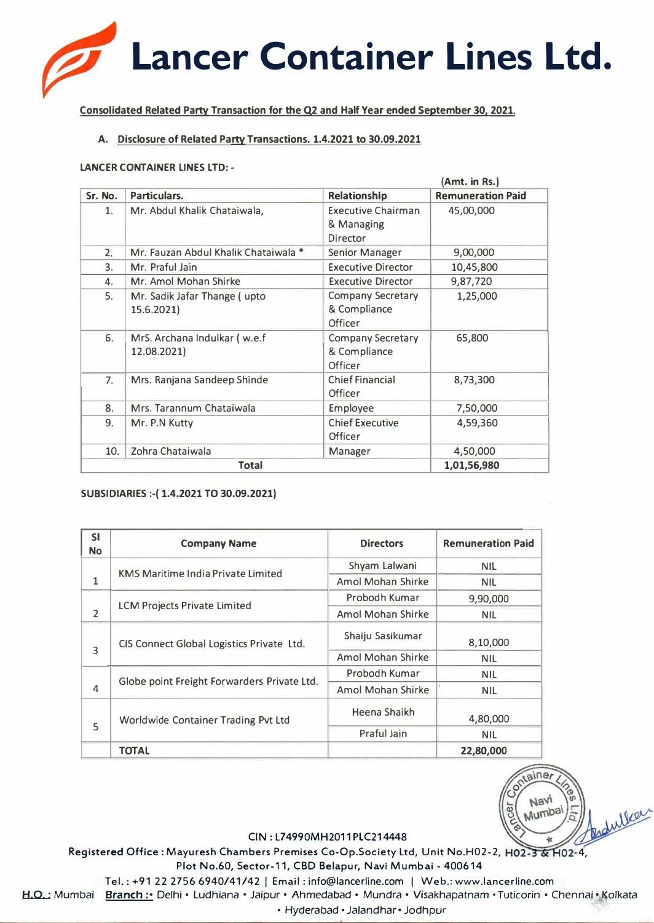

**Consolidated Related Party Transaction for the Q2 and Half Year ended September 30, 2021.** 

# **A. Disclosure of Related Party Transactions. 1.4.2021 to 30.09.2021**

#### **LANCER CONTAINER LINES LTD: -**

|         |                                             |                                                            | (Amt. in Rs.)            |
|---------|---------------------------------------------|------------------------------------------------------------|--------------------------|
| Sr. No. | Particulars.                                | Relationship                                               | <b>Remuneration Paid</b> |
| 1.      | Mr. Abdul Khalik Chataiwala,                | <b>Executive Chairman</b><br>& Managing<br><b>Director</b> | 45,00,000                |
| 2.      | Mr. Fauzan Abdul Khalik Chataiwala *        | Senior Manager                                             | 9,00,000                 |
| 3.      | Mr. Praful Jain                             | <b>Executive Director</b>                                  | 10,45,800                |
| 4.      | Mr. Amol Mohan Shirke                       | <b>Executive Director</b>                                  | 9,87,720                 |
| 5.      | Mr. Sadik Jafar Thange (upto<br>15.6.2021)  | <b>Company Secretary</b><br>& Compliance<br>Officer        | 1,25,000                 |
| 6.      | MrS. Archana Indulkar (w.e.f<br>12.08.2021) | <b>Company Secretary</b><br>& Compliance<br>Officer        | 65,800                   |
| 7.      | Mrs. Ranjana Sandeep Shinde                 | <b>Chief Financial</b><br>8,73,300<br>Officer              |                          |
| 8.      | Mrs. Tarannum Chataiwala                    | Employee                                                   | 7,50,000                 |
| 9.      | Mr. P.N Kutty                               | <b>Chief Executive</b><br><b>Officer</b>                   | 4,59,360                 |
| 10.     | Zohra Chataiwala                            | Manager                                                    | 4,50,000                 |
|         | <b>Total</b>                                | 1,01,56,980                                                |                          |

### **SUBSIDIARIES:-( 1.4.2021 TO 30.09.2021)**

| <b>SI</b><br><b>No</b> | <b>Company Name</b>                         | <b>Directors</b>          | <b>Remuneration Paid</b>                                  |
|------------------------|---------------------------------------------|---------------------------|-----------------------------------------------------------|
|                        |                                             | Shyam Lalwani             | <b>NIL</b>                                                |
| $\mathbf{1}$           | <b>KMS Maritime India Private Limited</b>   | Amol Mohan Shirke         | <b>NIL</b>                                                |
| $\overline{2}$         |                                             | Probodh Kumar<br>9,90,000 |                                                           |
|                        | <b>LCM Projects Private Limited</b>         | Amol Mohan Shirke         | <b>NIL</b>                                                |
| 3                      | CIS Connect Global Logistics Private Ltd.   | Shaiju Sasikumar          | 8,10,000                                                  |
|                        |                                             | Amol Mohan Shirke         | <b>NIL</b>                                                |
| $\overline{4}$         | Globe point Freight Forwarders Private Ltd. | Probodh Kumar             | <b>NIL</b><br><b>NIL</b><br>4,80,000<br>NIL.<br>22,80,000 |
|                        |                                             | Amol Mohan Shirke         |                                                           |
| 5                      | Worldwide Container Trading Pvt Ltd         | Heena Shaikh              |                                                           |
|                        |                                             | Praful Jain               |                                                           |
|                        | <b>TOTAL</b>                                |                           |                                                           |



#### CIN: L74990MH2011 PLC214448

Registered Office: Mayuresh Chambers Premises Co-Op.Society Ltd, Unit No.H02-2, H02-3 & H02-4, Plot No.60, Sector-11, CBD Belapur, Navi Mumbai - 400614

Tel.: +91 22 2756 6940/41/42 | Email: info@lancerline.com | Web.: www.lancerline.com

H.O.: Mumbai Branch: • Delhi • Ludhiana • Jaipur • Ahmedabad • Mundra • Visakhapatnam • Tuticorin • Chennai • Kolkata

• Hyderabad• Jalandhar • Jodhpur